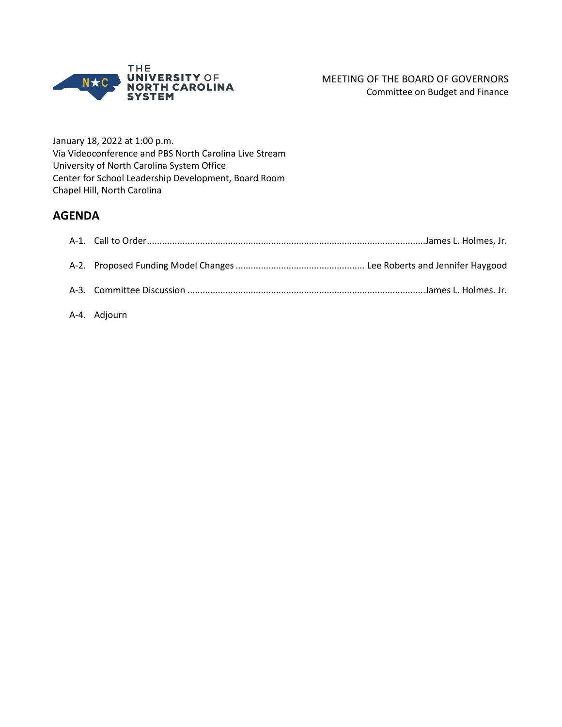

January 18, 2022 at 1:00 p.m. Via Videoconference and PBS North Carolina Live Stream University of North Carolina System Office Center for School Leadership Development, Board Room Chapel Hill, North Carolina

#### **AGENDA**

A-4. Adjourn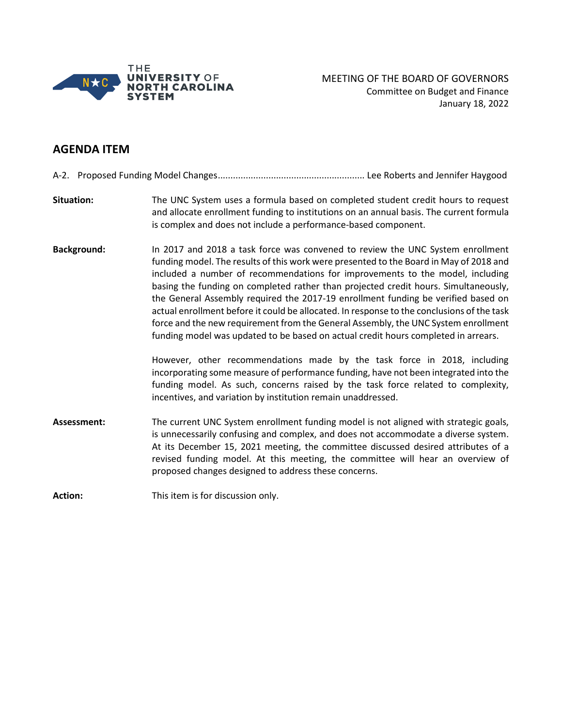

#### **AGENDA ITEM**

A-2. Proposed Funding Model Changes.......................................................... Lee Roberts and Jennifer Haygood

- **Situation:** The UNC System uses a formula based on completed student credit hours to request and allocate enrollment funding to institutions on an annual basis. The current formula is complex and does not include a performance-based component.
- **Background:** In 2017 and 2018 a task force was convened to review the UNC System enrollment funding model. The results of this work were presented to the Board in May of 2018 and included a number of recommendations for improvements to the model, including basing the funding on completed rather than projected credit hours. Simultaneously, the General Assembly required the 2017-19 enrollment funding be verified based on actual enrollment before it could be allocated. In response to the conclusions of the task force and the new requirement from the General Assembly, the UNC System enrollment funding model was updated to be based on actual credit hours completed in arrears.

However, other recommendations made by the task force in 2018, including incorporating some measure of performance funding, have not been integrated into the funding model. As such, concerns raised by the task force related to complexity, incentives, and variation by institution remain unaddressed.

**Assessment:** The current UNC System enrollment funding model is not aligned with strategic goals, is unnecessarily confusing and complex, and does not accommodate a diverse system. At its December 15, 2021 meeting, the committee discussed desired attributes of a revised funding model. At this meeting, the committee will hear an overview of proposed changes designed to address these concerns.

Action: This item is for discussion only.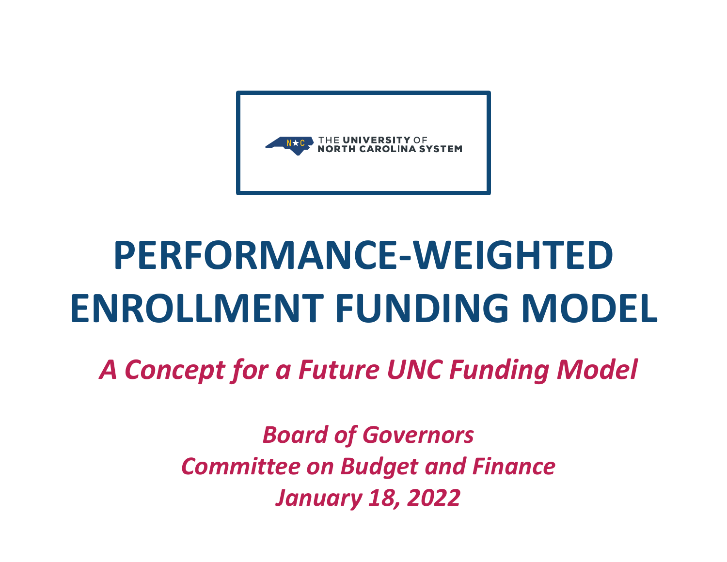

## **PERFORMANCE‐WEIGHTEDENROLLMENT FUNDING MODEL**

*A Concept for a Future UNC Funding Model*

*Board of Governors Committee on Budget and Finance January 18, 2022*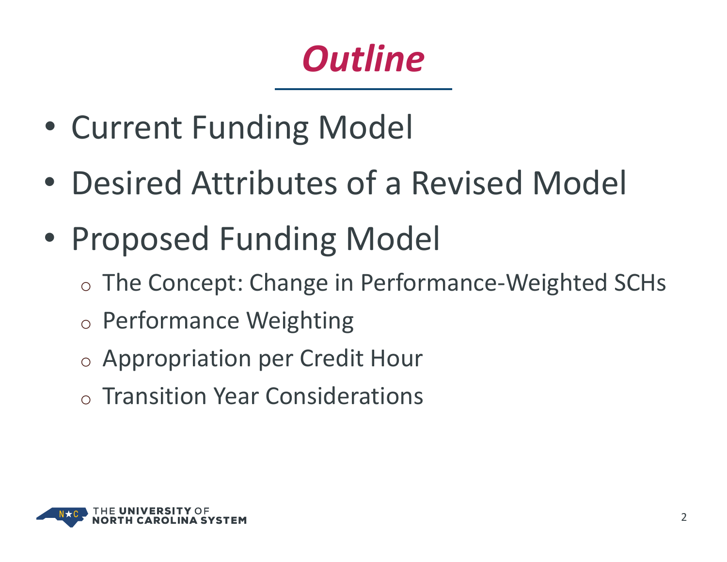#### *Outline*

- $\bullet$ Current Funding Model
- $\bullet$ Desired Attributes of <sup>a</sup> Revised Model
- • Proposed Funding Model
	- o The Concept: Change in Performance‐Weighted SCHs
	- o Performance Weighting
	- o Appropriation per Credit Hour
	- $\circ$  Transition Year Considerations

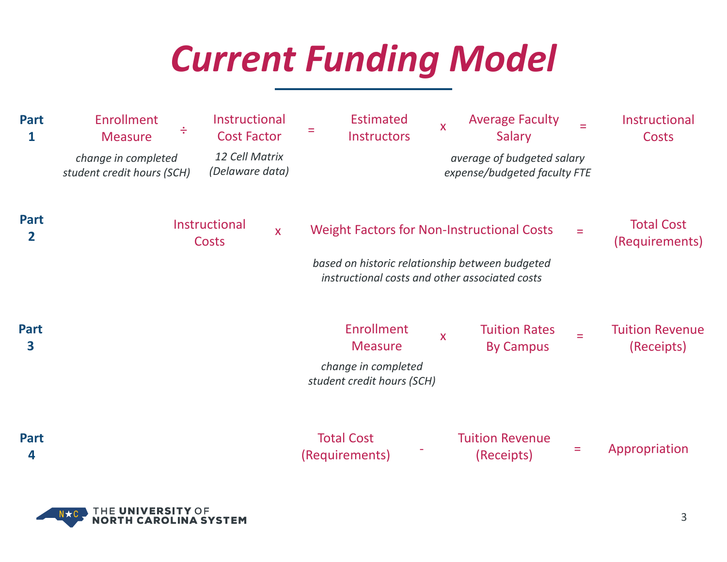#### *Current Funding Model*

| <b>Part</b><br>1 | <b>Enrollment</b><br>÷<br><b>Measure</b>          | Instructional<br><b>Cost Factor</b> | <b>Estimated</b><br>Instructors                                                                   | <b>Average Faculty</b><br>X<br>Salary                      | Instructional<br><b>Costs</b>            |
|------------------|---------------------------------------------------|-------------------------------------|---------------------------------------------------------------------------------------------------|------------------------------------------------------------|------------------------------------------|
|                  | change in completed<br>student credit hours (SCH) | 12 Cell Matrix<br>(Delaware data)   |                                                                                                   | average of budgeted salary<br>expense/budgeted faculty FTE |                                          |
| <b>Part</b><br>2 |                                                   | Instructional<br>X<br><b>Costs</b>  | <b>Weight Factors for Non-Instructional Costs</b>                                                 |                                                            | <b>Total Cost</b><br>Ξ<br>(Requirements) |
|                  |                                                   |                                     | based on historic relationship between budgeted<br>instructional costs and other associated costs |                                                            |                                          |
| <b>Part</b><br>3 |                                                   |                                     | Enrollment<br><b>Measure</b>                                                                      | <b>Tuition Rates</b><br>X<br><b>By Campus</b>              | <b>Tuition Revenue</b><br>(Receipts)     |
|                  |                                                   |                                     | change in completed<br>student credit hours (SCH)                                                 |                                                            |                                          |
| <b>Part</b><br>4 |                                                   |                                     | <b>Total Cost</b><br>(Requirements)                                                               | <b>Tuition Revenue</b><br>(Receipts)                       | Appropriation<br>Ξ                       |

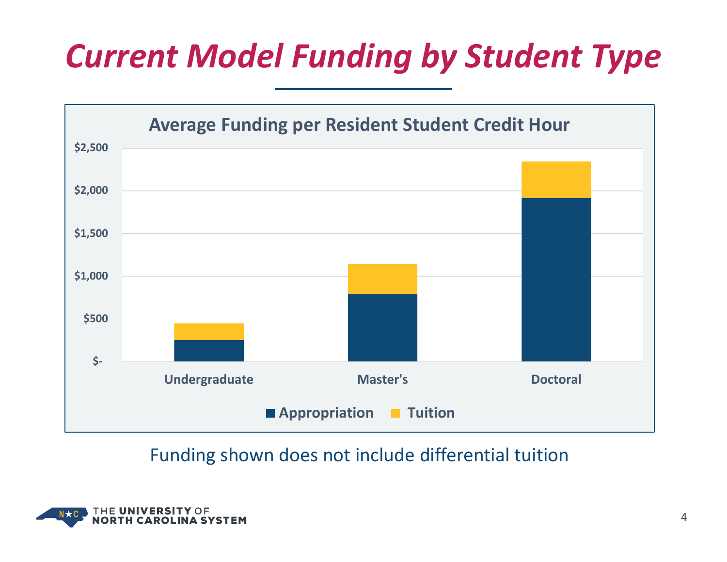#### *Current Model Funding by Student Type*



#### Funding shown does not include differential tuition

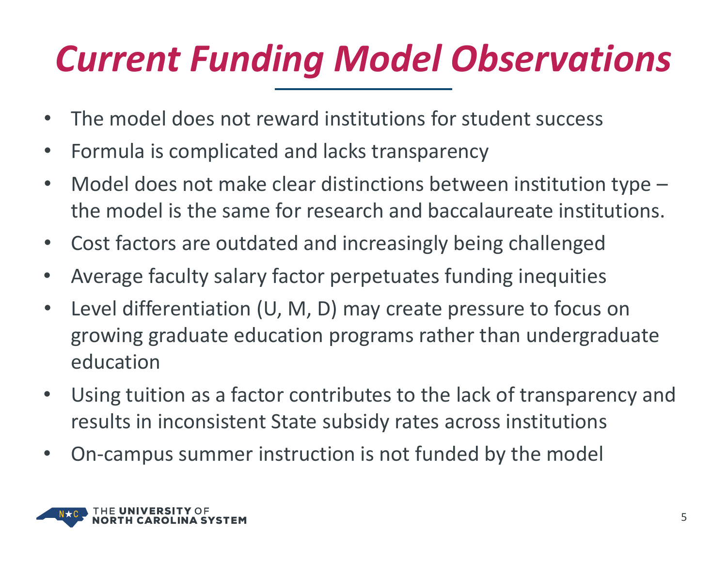### *Current Funding Model Observations*

- $\bullet$ The model does not reward institutions for student success
- $\bullet$ Formula is complicated and lacks transparency
- $\bullet$  Model does not make clear distinctions between institution type – the model is the same for research and baccalaureate institutions.
- $\bullet$ Cost factors are outdated and increasingly being challenged
- $\bullet$ Average faculty salary factor perpetuates funding inequities
- $\bullet$  Level differentiation (U, M, D) may create pressure to focus on growing graduate education programs rather than undergraduate education
- $\bullet$  Using tuition as <sup>a</sup> factor contributes to the lack of transparency and results in inconsistent State subsidy rates across institutions
- $\bullet$ On‐campus summer instruction is not funded by the model

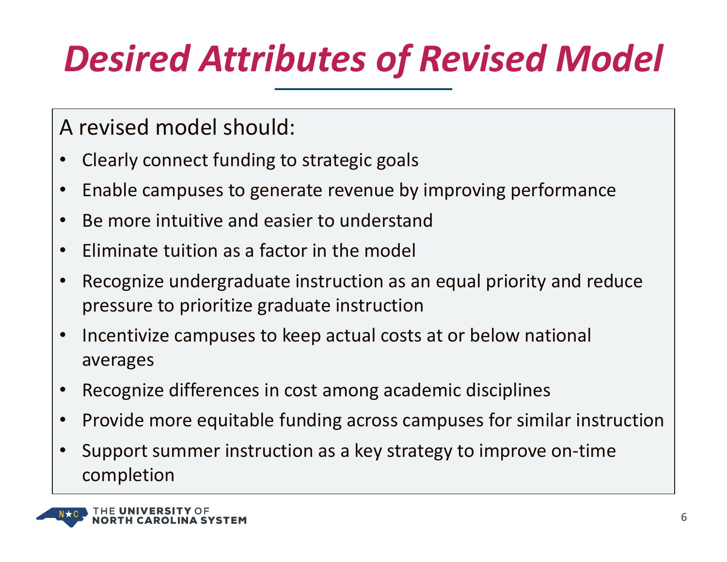### *Desired Attributes of Revised Model*

A revised model should:

- •Clearly connect funding to strategic goals
- •Enable campuses to generate revenue by improving performance
- •• Be more intuitive and easier to understand
- •Eliminate tuition as <sup>a</sup> factor in the model
- • Recognize undergraduate instruction as an equal priority and reduce pressure to prioritize graduate instruction
- •• Incentivize campuses to keep actual costs at or below national averages
- •Recognize differences in cost among academic disciplines
- •• Provide more equitable funding across campuses for similar instruction
- • Support summer instruction as <sup>a</sup> key strategy to improve on‐time completion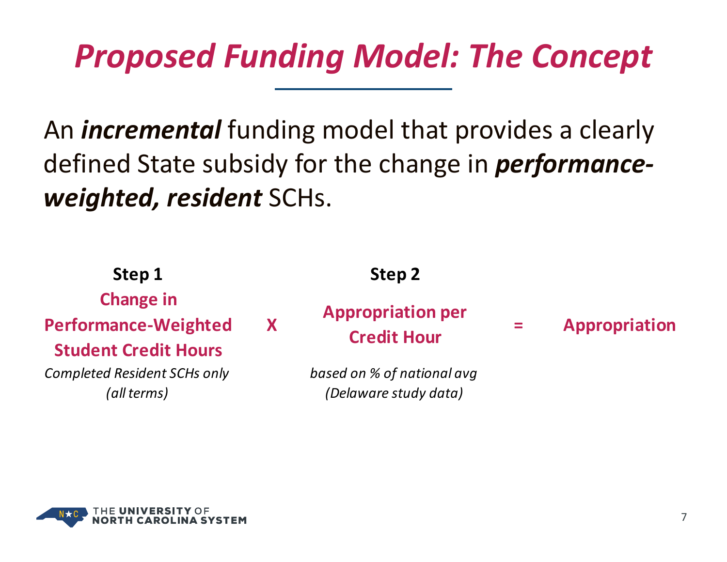#### *Proposed Funding Model: The Concept*

An *incremental* funding model that provides <sup>a</sup> clearly defined State subsidy for the change in *performance‐ weighted, resident* SCHs.

**Step 1 Step 2 Change in Performance‐Weighted Student Credit HoursXAppropriation per Credit Hour <sup>=</sup> Appropriation** *Completed Resident SCHs only (all terms) based on % of national avg (Delaware study data)*

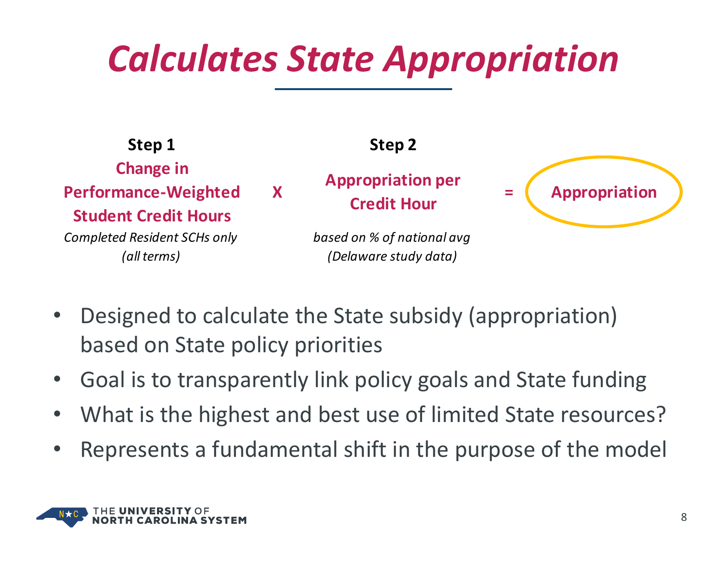#### *Calculates State Appropriation*



- $\bullet$  Designed to calculate the State subsidy (appropriation) based on State policy priorities
- $\bullet$ Goal is to transparently link policy goals and State funding
- •What is the highest and best use of limited State resources?
- •Represents <sup>a</sup> fundamental shift in the purpose of the model

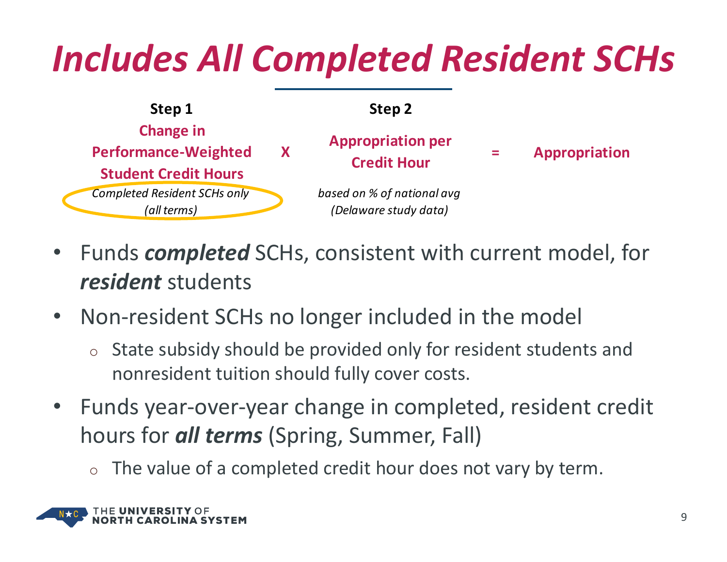#### *Includes All Completed Resident SCHs*



- $\bullet$  Funds *completed* SCHs, consistent with current model, for *resident* students
- $\bullet$ • Non-resident SCHs no longer included in the model
	- $\circ$  State subsidy should be provided only for resident students and nonresident tuition should fully cover costs.
- $\bullet$  Funds year‐over‐year change in completed, resident credit hours for *all terms* (Spring, Summer, Fall)
	- $\circ$  The value of a completed credit hour does not vary by term.

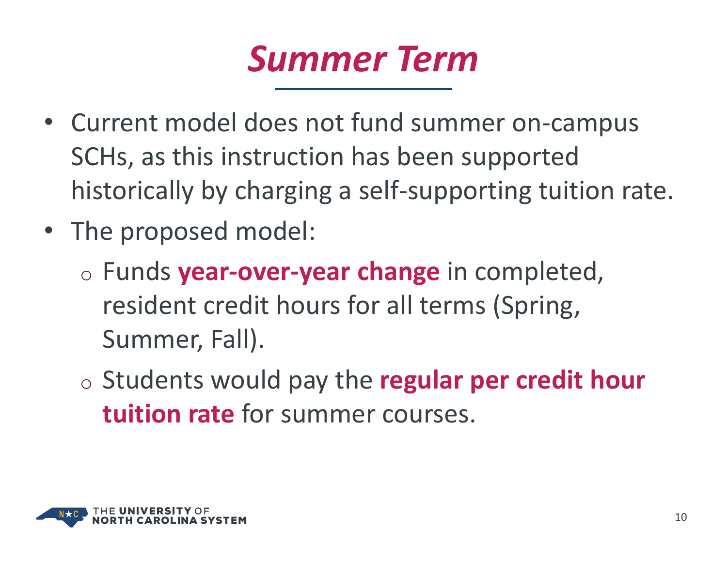#### *Summer Term*

- Current model does not fund summer on‐campus SCHs, as this instruction has been supported historically by charging <sup>a</sup> self‐supporting tuition rate.
- The proposed model:
	- o Funds **year‐over‐year change** in completed, resident credit hours for all terms (Spring, Summer, Fall).
	- o Students would pay the **regular per credit hour tuition rate** for summer courses.

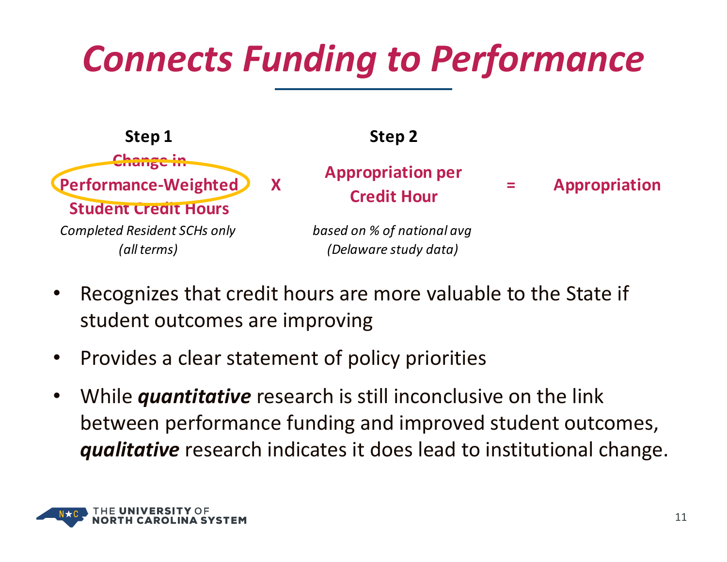#### *Connects Funding to Performance*



- • Recognizes that credit hours are more valuable to the State if student outcomes are improving
- $\bullet$ • Provides a clear statement of policy priorities
- $\bullet$  While *quantitative* research is still inconclusive on the link between performance funding and improved student outcomes, *qualitative* research indicates it does lead to institutional change.

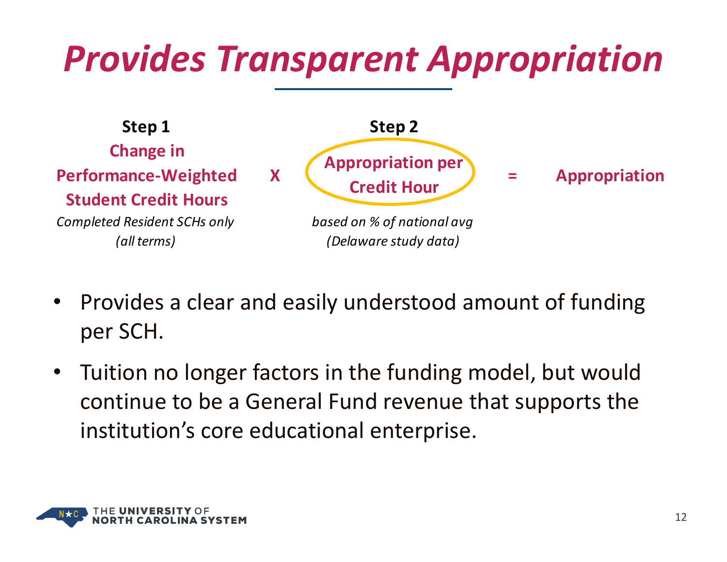#### *Provides Transparent Appropriation*



- $\bullet$  Provides a clear and easily understood amount of funding per SCH.
- $\bullet$  Tuition no longer factors in the funding model, but would continue to be <sup>a</sup> General Fund revenue that supports the institution's core educational enterprise.

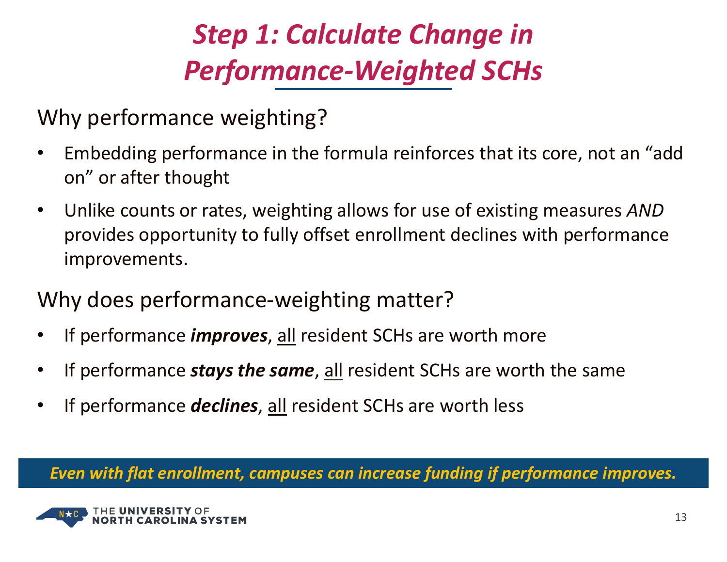#### *Step 1: Calculate Change in Performance‐Weighted SCHs*

Why performance weighting?

- • Embedding performance in the formula reinforces that its core, not an "add on" or after thought
- $\bullet$  Unlike counts or rates, weighting allows for use of existing measures *AND* provides opportunity to fully offset enrollment declines with performance improvements.
- Why does performance-weighting matter?
- $\bullet$ If performance *improves*, all resident SCHs are worth more
- •If performance *stays the same*, all resident SCHs are worth the same
- $\bullet$ If performance *declines*, all resident SCHs are worth less

*Even with flat enrollment, campuses can increase funding if performance improves.*

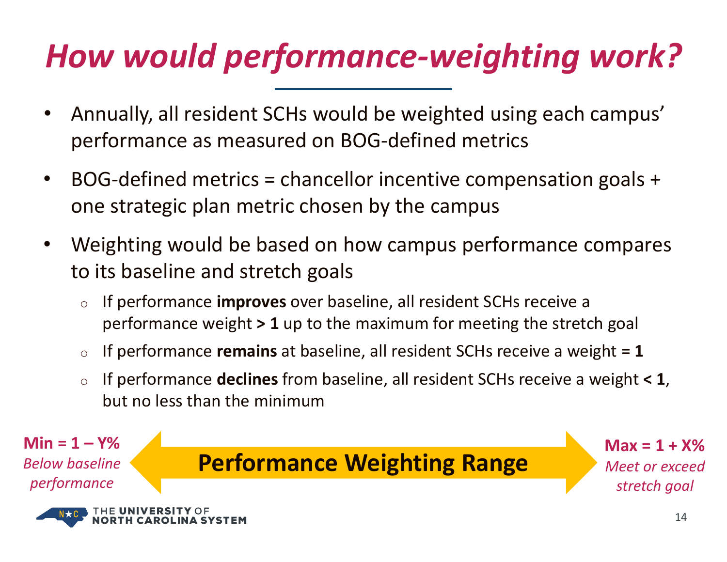#### *How would performance‐weighting work?*

- $\bullet$  Annually, all resident SCHs would be weighted using each campus' performance as measured on BOG‐defined metrics
- $\bullet$  BOG‐defined metrics <sup>=</sup> chancellor incentive compensation goals <sup>+</sup> one strategic plan metric chosen by the campus
- • Weighting would be based on how campus performance compares to its baseline and stretch goals
	- o If performance **improves** over baseline, all resident SCHs receive <sup>a</sup> performance weight **<sup>&</sup>gt; 1** up to the maximum for meeting the stretch goal
	- oIf performance **remains** at baseline, all resident SCHs receive <sup>a</sup> weight **<sup>=</sup> 1**
	- o If performance **declines** from baseline, all resident SCHs receive <sup>a</sup> weight **<sup>&</sup>lt; 1**, but no less than the minimum

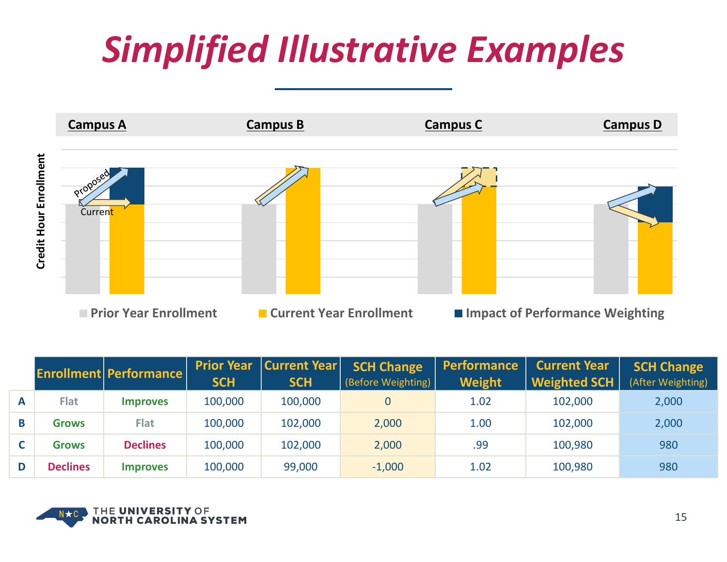#### *Simplified Illustrative Examples*



|   |                 | <b>Enrollment Performance</b> | <b>Prior Year</b><br><b>SCH</b> | <b>Current Year</b><br><b>SCH</b> | <b>SCH Change</b><br>(Before Weighting) | <b>Performance</b><br>Weight | <b>Current Year</b><br><b>Weighted SCH</b> | <b>SCH Change</b><br>(After Weighting) |
|---|-----------------|-------------------------------|---------------------------------|-----------------------------------|-----------------------------------------|------------------------------|--------------------------------------------|----------------------------------------|
| A | <b>Flat</b>     | <b>Improves</b>               | 100,000                         | 100,000                           |                                         | 1.02                         | 102,000                                    | 2,000                                  |
| B | <b>Grows</b>    | <b>Flat</b>                   | 100,000                         | 102,000                           | 2,000                                   | 1.00                         | 102,000                                    | 2,000                                  |
|   | <b>Grows</b>    | <b>Declines</b>               | 100,000                         | 102,000                           | 2,000                                   | .99                          | 100,980                                    | 980                                    |
| D | <b>Declines</b> | <b>Improves</b>               | 100,000                         | 99,000                            | $-1,000$                                | 1.02                         | 100,980                                    | 980                                    |

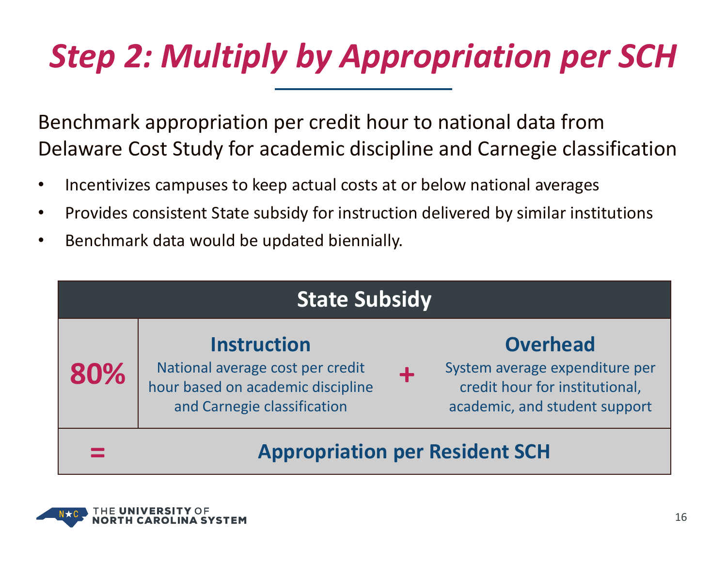#### *Step 2: Multiply by Appropriation per SCH*

Benchmark appropriation per credit hour to national data from Delaware Cost Study for academic discipline and Carnegie classification

- •• Incentivizes campuses to keep actual costs at or below national averages
- $\bullet$ • Provides consistent State subsidy for instruction delivered by similar institutions
- $\bullet$ • Benchmark data would be updated biennially.

| <b>State Subsidy</b>                  |                                                                                                                            |                                                                                                                      |  |  |  |  |
|---------------------------------------|----------------------------------------------------------------------------------------------------------------------------|----------------------------------------------------------------------------------------------------------------------|--|--|--|--|
| 80%                                   | <b>Instruction</b><br>National average cost per credit<br>hour based on academic discipline<br>and Carnegie classification | <b>Overhead</b><br>System average expenditure per<br>credit hour for institutional,<br>academic, and student support |  |  |  |  |
| <b>Appropriation per Resident SCH</b> |                                                                                                                            |                                                                                                                      |  |  |  |  |

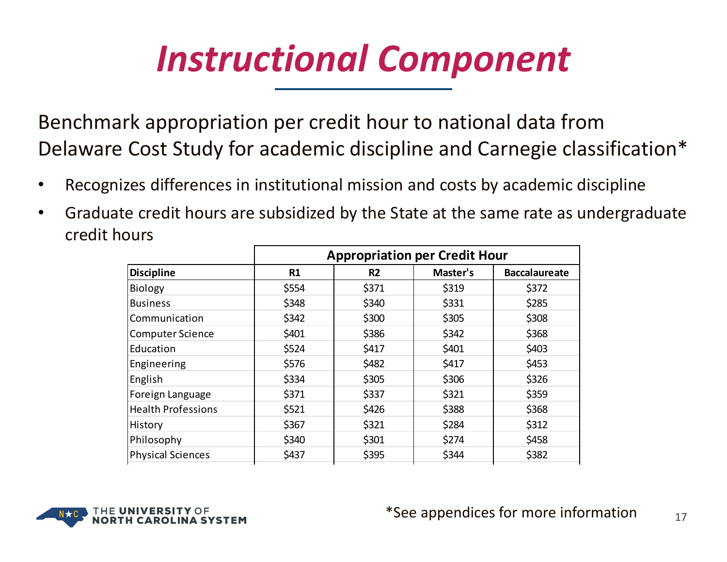#### *Instructional Component*

Benchmark appropriation per credit hour to national data from Delaware Cost Study for academic discipline and Carnegie classification\*

- •Recognizes differences in institutional mission and costs by academic discipline
- $\bullet$  Graduate credit hours are subsidized by the State at the same rate as undergraduate credit hours

| <b>Appropriation per Credit Hour</b> |                |          |                      |  |  |
|--------------------------------------|----------------|----------|----------------------|--|--|
| R1                                   | R <sub>2</sub> | Master's | <b>Baccalaureate</b> |  |  |
| \$554                                | \$371          | \$319    | \$372                |  |  |
| \$348                                | \$340          | \$331    | \$285                |  |  |
| \$342                                | \$300          | \$305    | \$308                |  |  |
| \$401                                | \$386          | \$342    | \$368                |  |  |
| \$524                                | \$417          | \$401    | \$403                |  |  |
| \$576                                | \$482          | \$417    | \$453                |  |  |
| \$334                                | \$305          | \$306    | \$326                |  |  |
| \$371                                | \$337          | \$321    | \$359                |  |  |
| \$521                                | \$426          | \$388    | \$368                |  |  |
| \$367                                | \$321          | \$284    | \$312                |  |  |
| \$340                                | \$301          | \$274    | \$458                |  |  |
| \$437                                | \$395          | \$344    | \$382                |  |  |
|                                      |                |          |                      |  |  |

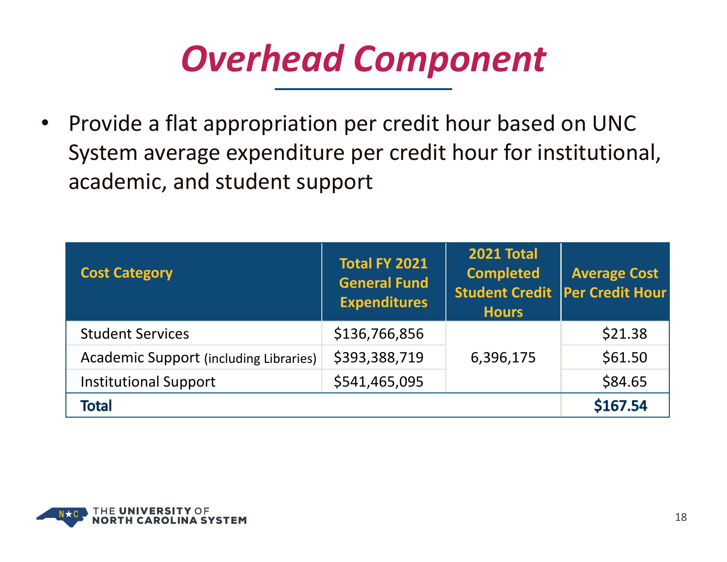#### *Overhead Component*

 $\bullet$ • Provide a flat appropriation per credit hour based on UNC System average expenditure per credit hour for institutional, academic, and student support

| <b>Cost Category</b>                          | <b>Total FY 2021</b><br><b>General Fund</b><br><b>Expenditures</b> | <b>2021 Total</b><br><b>Completed</b><br><b>Hours</b> | <b>Average Cost</b><br>Student Credit   Per Credit Hour |
|-----------------------------------------------|--------------------------------------------------------------------|-------------------------------------------------------|---------------------------------------------------------|
| <b>Student Services</b>                       | \$136,766,856                                                      |                                                       | \$21.38                                                 |
| <b>Academic Support (including Libraries)</b> | \$393,388,719                                                      | 6,396,175                                             | \$61.50                                                 |
| <b>Institutional Support</b>                  | \$541,465,095                                                      |                                                       | \$84.65                                                 |
| <b>Total</b>                                  | \$167.54                                                           |                                                       |                                                         |

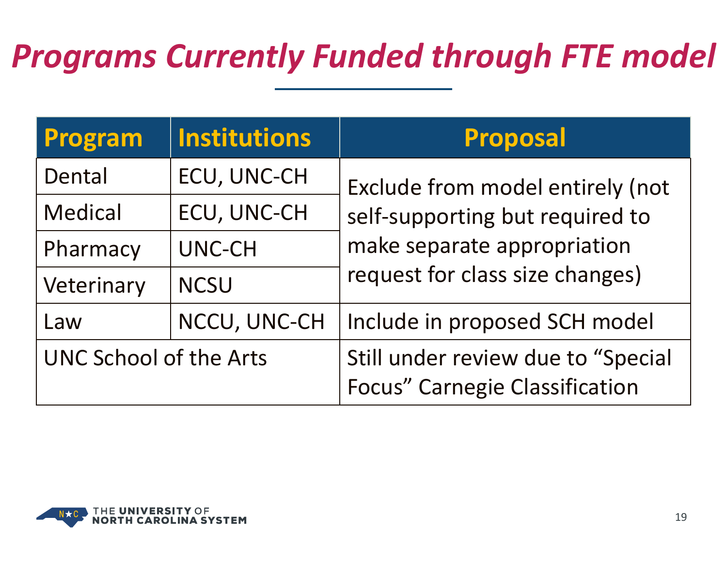#### *Programs Currently Funded through FTE model*

| <b>Program</b>                | <b>Institutions</b> | <b>Proposal</b>                                                             |  |  |
|-------------------------------|---------------------|-----------------------------------------------------------------------------|--|--|
| ECU, UNC-CH<br>Dental         |                     | Exclude from model entirely (not                                            |  |  |
| <b>Medical</b>                | <b>ECU, UNC-CH</b>  | self-supporting but required to                                             |  |  |
| Pharmacy                      | UNC-CH              | make separate appropriation                                                 |  |  |
| Veterinary                    | <b>NCSU</b>         | request for class size changes)                                             |  |  |
| NCCU, UNC-CH<br>Law           |                     | Include in proposed SCH model                                               |  |  |
| <b>UNC School of the Arts</b> |                     | Still under review due to "Special<br><b>Focus" Carnegie Classification</b> |  |  |

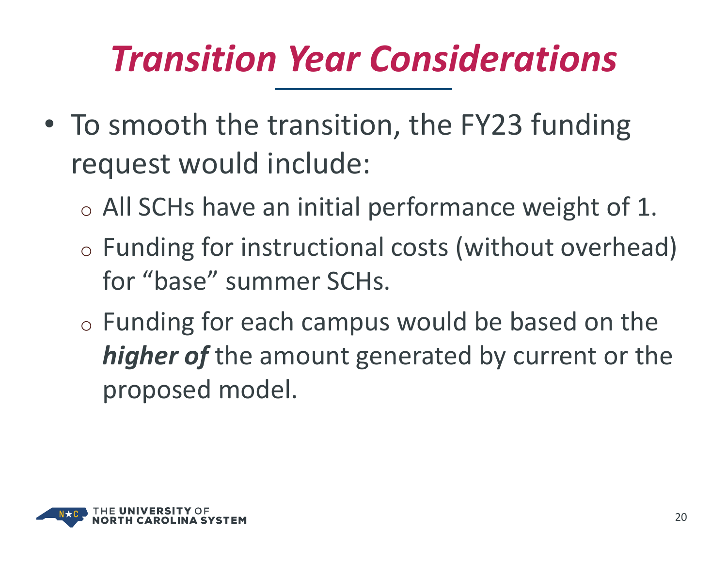#### *Transition Year Considerations*

- To smooth the transition, the FY23 funding request would include:
	- $\circ$  All SCHs have an initial performance weight of 1.
	- $\circ$  Funding for instructional costs (without overhead) for "base" summer SCHs.
	- $\circ$  Funding for each campus would be based on the *higher of* the amount generated by current or the proposed model.

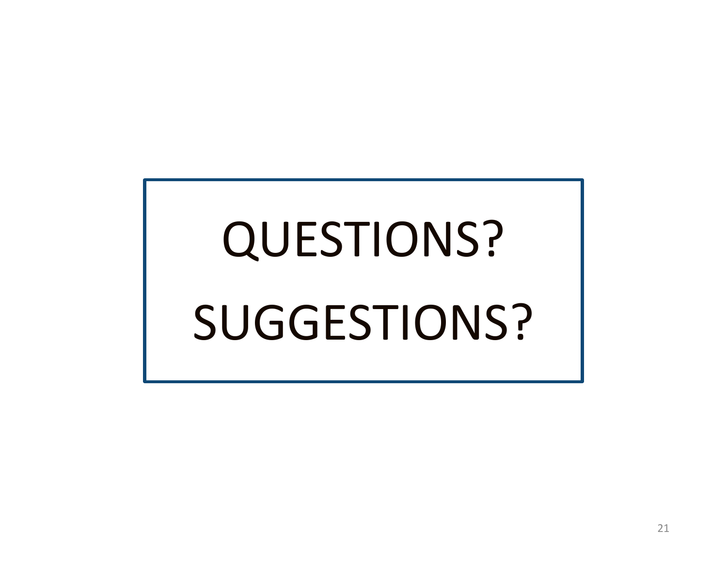# QUESTIONS? SUGGESTIONS?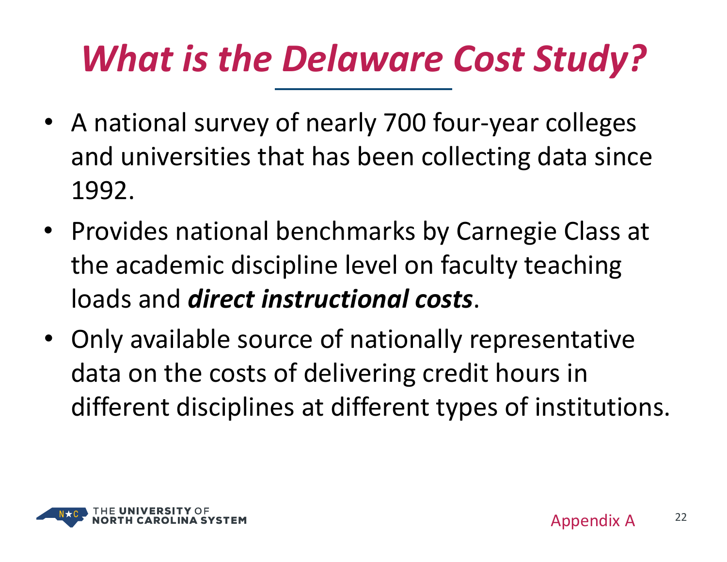#### *What is the Delaware Cost Study?*

- A national survey of nearly 700 four‐year colleges and universities that has been collecting data since 1992.
- Provides national benchmarks by Carnegie Class at the academic discipline level on faculty teaching loads and *direct instructional costs*.
- Only available source of nationally representative data on the costs of delivering credit hours in different disciplines at different types of institutions.